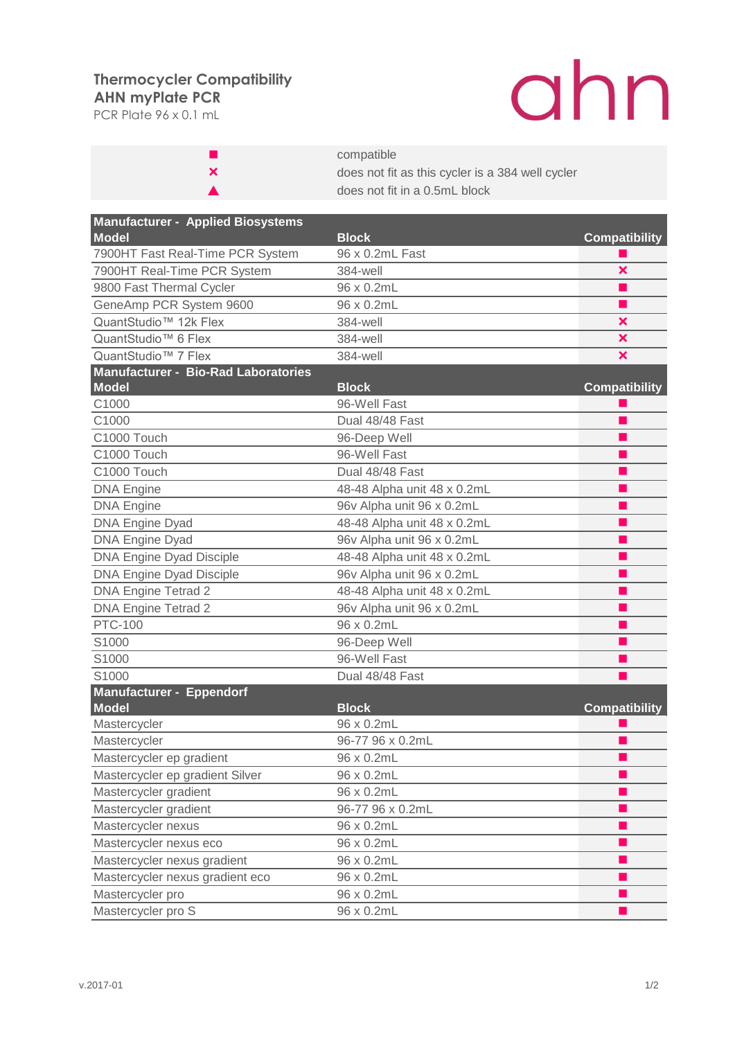## **AHN myPlate PCR Thermocycler Compatibility**

PCR Plate 96 x 0.1 mL

## ahn

|   | compatible                                       |
|---|--------------------------------------------------|
| × | does not fit as this cycler is a 384 well cycler |
|   | does not fit in a 0.5mL block                    |

| <b>Manufacturer - Applied Biosystems</b>                   |                             |                      |
|------------------------------------------------------------|-----------------------------|----------------------|
| <b>Model</b>                                               | <b>Block</b>                | <b>Compatibility</b> |
| 7900HT Fast Real-Time PCR System                           | 96 x 0.2mL Fast             |                      |
| 7900HT Real-Time PCR System                                | 384-well                    | ×                    |
| 9800 Fast Thermal Cycler                                   | 96 x 0.2mL                  |                      |
| GeneAmp PCR System 9600                                    | 96 x 0.2mL                  |                      |
| QuantStudio <sup>™</sup> 12k Flex                          | 384-well                    | ×                    |
| QuantStudio <sup>™</sup> 6 Flex                            | 384-well                    | ×                    |
| QuantStudio <sup>™</sup> 7 Flex                            | 384-well                    | ×                    |
| <b>Manufacturer - Bio-Rad Laboratories</b><br><b>Model</b> | <b>Block</b>                | <b>Compatibility</b> |
| C1000                                                      | 96-Well Fast                |                      |
| C1000                                                      | Dual 48/48 Fast             |                      |
| C1000 Touch                                                | 96-Deep Well                |                      |
| C1000 Touch                                                | 96-Well Fast                |                      |
| C1000 Touch                                                | Dual 48/48 Fast             |                      |
| <b>DNA Engine</b>                                          | 48-48 Alpha unit 48 x 0.2mL |                      |
| <b>DNA Engine</b>                                          | 96v Alpha unit 96 x 0.2mL   |                      |
| <b>DNA Engine Dyad</b>                                     | 48-48 Alpha unit 48 x 0.2mL |                      |
| <b>DNA Engine Dyad</b>                                     | 96v Alpha unit 96 x 0.2mL   |                      |
| <b>DNA Engine Dyad Disciple</b>                            | 48-48 Alpha unit 48 x 0.2mL |                      |
| <b>DNA Engine Dyad Disciple</b>                            | 96v Alpha unit 96 x 0.2mL   |                      |
| DNA Engine Tetrad 2                                        | 48-48 Alpha unit 48 x 0.2mL |                      |
| DNA Engine Tetrad 2                                        | 96v Alpha unit 96 x 0.2mL   |                      |
| <b>PTC-100</b>                                             | 96 x 0.2mL                  | ٠                    |
| S1000                                                      | 96-Deep Well                |                      |
| S1000                                                      | 96-Well Fast                |                      |
| S1000                                                      | Dual 48/48 Fast             |                      |
| <b>Manufacturer - Eppendorf</b><br><b>Model</b>            | <b>Block</b>                | <b>Compatibility</b> |
| Mastercycler                                               | 96 x 0.2mL                  |                      |
| Mastercycler                                               | 96-77 96 x 0.2mL            |                      |
| Mastercycler ep gradient                                   | 96 x 0.2mL                  |                      |
| Mastercycler ep gradient Silver                            | 96 x 0.2mL                  |                      |
| Mastercycler gradient                                      | 96 x 0.2mL                  |                      |
| Mastercycler gradient                                      | 96-77 96 x 0.2mL            |                      |
| Mastercycler nexus                                         | 96 x 0.2mL                  |                      |
| Mastercycler nexus eco                                     | 96 x 0.2mL                  |                      |
| Mastercycler nexus gradient                                | 96 x 0.2mL                  |                      |
| Mastercycler nexus gradient eco                            | 96 x 0.2mL                  | ٠                    |
| Mastercycler pro                                           | 96 x 0.2mL                  |                      |
| Mastercycler pro S                                         | 96 x 0.2mL                  |                      |